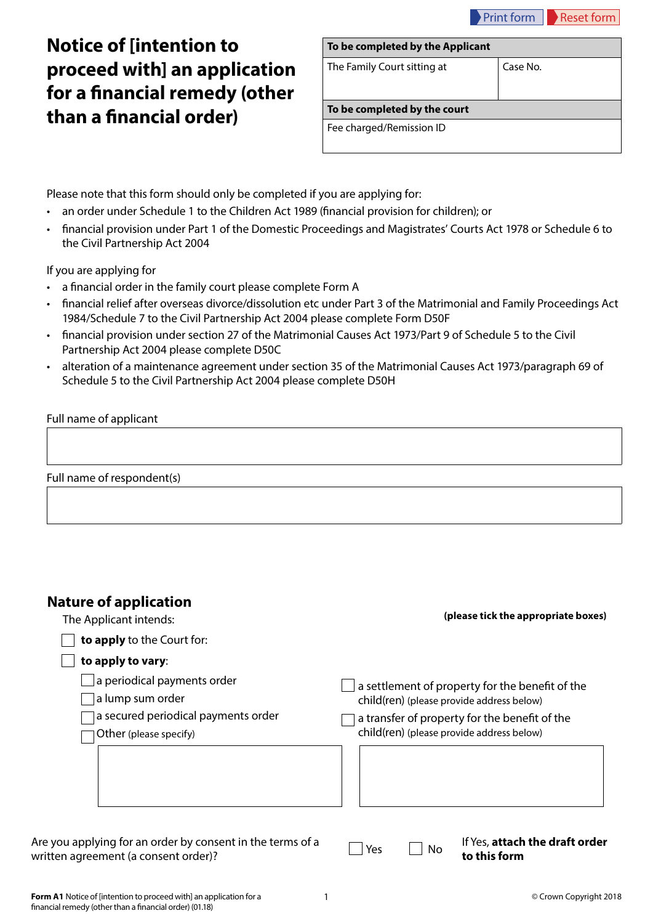Print form **Reset form** 

# **Notice of [intention to proceed with] an application for a financial remedy (other than a financial order)**

| To be completed by the Applicant |          |  |
|----------------------------------|----------|--|
| The Family Court sitting at      | Case No. |  |
| To be completed by the court     |          |  |
| Fee charged/Remission ID         |          |  |
|                                  |          |  |

Please note that this form should only be completed if you are applying for:

- an order under Schedule 1 to the Children Act 1989 (financial provision for children); or
- financial provision under Part 1 of the Domestic Proceedings and Magistrates' Courts Act 1978 or Schedule 6 to the Civil Partnership Act 2004

If you are applying for

- a financial order in the family court please complete Form A
- financial relief after overseas divorce/dissolution etc under Part 3 of the Matrimonial and Family Proceedings Act 1984/Schedule 7 to the Civil Partnership Act 2004 please complete Form D50F
- financial provision under section 27 of the Matrimonial Causes Act 1973/Part 9 of Schedule 5 to the Civil Partnership Act 2004 please complete D50C
- alteration of a maintenance agreement under section 35 of the Matrimonial Causes Act 1973/paragraph 69 of Schedule 5 to the Civil Partnership Act 2004 please complete D50H

Full name of respondent(s)

| <b>Nature of application</b> |  |
|------------------------------|--|
| — <u>Alexander Arabi</u>     |  |

| The Applicant intends:                                                                                           | (please tick the appropriate boxes)                                                                                                                                                        |
|------------------------------------------------------------------------------------------------------------------|--------------------------------------------------------------------------------------------------------------------------------------------------------------------------------------------|
| to apply to the Court for:                                                                                       |                                                                                                                                                                                            |
| to apply to vary:                                                                                                |                                                                                                                                                                                            |
| a periodical payments order<br>a lump sum order<br>a secured periodical payments order<br>Other (please specify) | a settlement of property for the benefit of the<br>child(ren) (please provide address below)<br>a transfer of property for the benefit of the<br>child(ren) (please provide address below) |
| Are you applying for an order by consent in the terms of a<br>written agreement (a consent order)?               | If Yes, attach the draft order<br>Yes<br>No<br>to this form                                                                                                                                |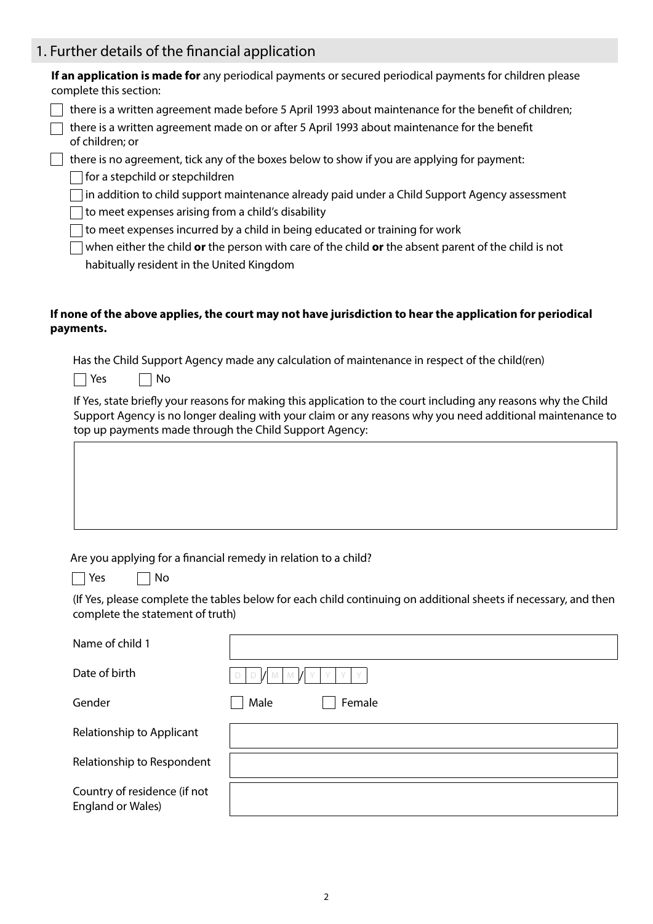# 1. Further details of the financial application

| . Further details of the financial application                  |      |                                                                                                                                                                                                                              |
|-----------------------------------------------------------------|------|------------------------------------------------------------------------------------------------------------------------------------------------------------------------------------------------------------------------------|
| complete this section:                                          |      | If an application is made for any periodical payments or secured periodical payments for children please                                                                                                                     |
| of children; or                                                 |      | there is a written agreement made before 5 April 1993 about maintenance for the benefit of children;<br>there is a written agreement made on or after 5 April 1993 about maintenance for the benefit                         |
| for a stepchild or stepchildren                                 |      | there is no agreement, tick any of the boxes below to show if you are applying for payment:                                                                                                                                  |
| to meet expenses arising from a child's disability              |      | in addition to child support maintenance already paid under a Child Support Agency assessment                                                                                                                                |
|                                                                 |      | to meet expenses incurred by a child in being educated or training for work                                                                                                                                                  |
| habitually resident in the United Kingdom                       |      | when either the child or the person with care of the child or the absent parent of the child is not                                                                                                                          |
| payments.                                                       |      | If none of the above applies, the court may not have jurisdiction to hear the application for periodical                                                                                                                     |
| No<br>Yes                                                       |      | Has the Child Support Agency made any calculation of maintenance in respect of the child(ren)                                                                                                                                |
|                                                                 |      | If Yes, state briefly your reasons for making this application to the court including any reasons why the Child<br>Support Agency is no longer dealing with your claim or any reasons why you need additional maintenance to |
| top up payments made through the Child Support Agency:          |      |                                                                                                                                                                                                                              |
|                                                                 |      |                                                                                                                                                                                                                              |
|                                                                 |      |                                                                                                                                                                                                                              |
| Are you applying for a financial remedy in relation to a child? |      |                                                                                                                                                                                                                              |
| No<br>  Yes                                                     |      |                                                                                                                                                                                                                              |
| complete the statement of truth)                                |      | (If Yes, please complete the tables below for each child continuing on additional sheets if necessary, and then                                                                                                              |
| Name of child 1                                                 |      |                                                                                                                                                                                                                              |
| Date of birth                                                   |      |                                                                                                                                                                                                                              |
| Gender                                                          | Male | Female                                                                                                                                                                                                                       |

| Relationship to Applicant                                |  |
|----------------------------------------------------------|--|
| Relationship to Respondent                               |  |
| Country of residence (if not<br><b>England or Wales)</b> |  |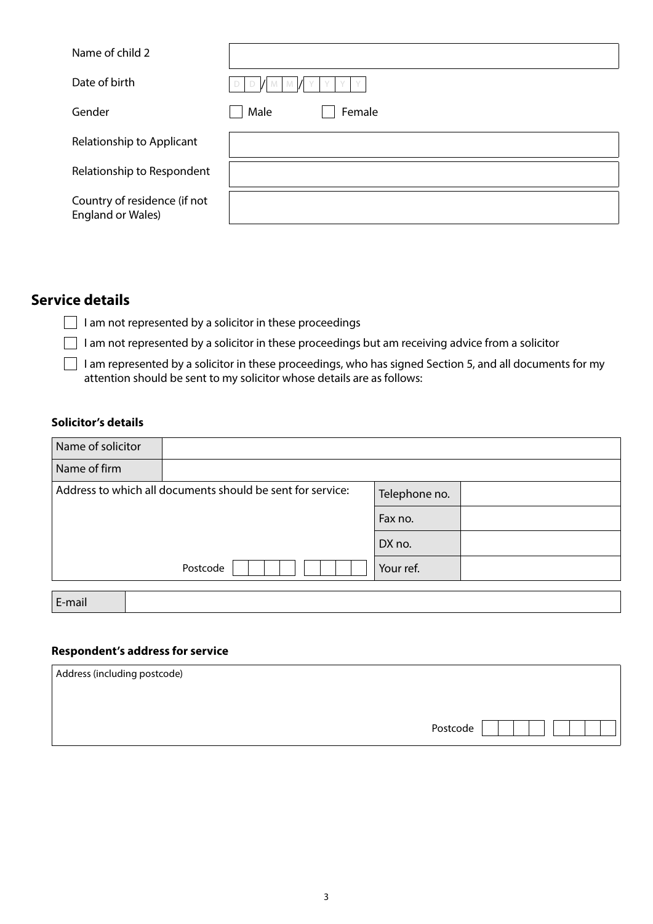| Name of child 2                                          |                                |
|----------------------------------------------------------|--------------------------------|
| Date of birth                                            | $D$ $D$ $M$ $M$<br>M<br>$\vee$ |
| Gender                                                   | Female<br>Male                 |
| Relationship to Applicant                                |                                |
| Relationship to Respondent                               |                                |
| Country of residence (if not<br><b>England or Wales)</b> |                                |

#### **Service details**

 $\Box$  I am not represented by a solicitor in these proceedings

 $\Box$  I am not represented by a solicitor in these proceedings but am receiving advice from a solicitor

 $\Box$  I am represented by a solicitor in these proceedings, who has signed Section 5, and all documents for my attention should be sent to my solicitor whose details are as follows:

#### **Solicitor's details**

| Name of solicitor |                                                            |               |  |
|-------------------|------------------------------------------------------------|---------------|--|
| Name of firm      |                                                            |               |  |
|                   | Address to which all documents should be sent for service: | Telephone no. |  |
|                   |                                                            | Fax no.       |  |
|                   |                                                            | DX no.        |  |
|                   | Postcode                                                   | Your ref.     |  |
|                   |                                                            |               |  |
| E-mail            |                                                            |               |  |

#### **Respondent's address for service**

| Postcode |
|----------|
|          |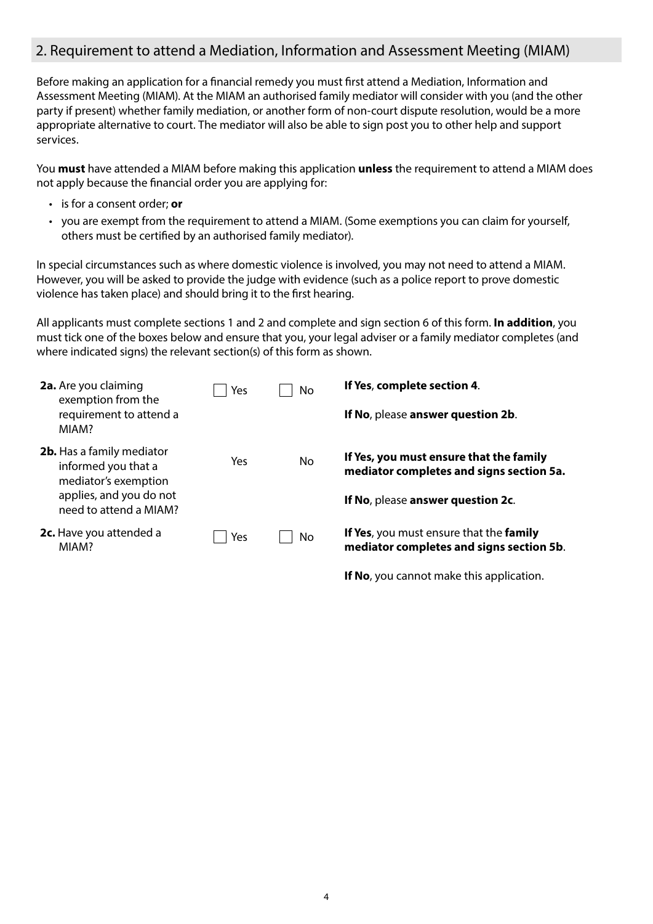### 2. Requirement to attend a Mediation, Information and Assessment Meeting (MIAM)

Before making an application for a financial remedy you must first attend a Mediation, Information and Assessment Meeting (MIAM). At the MIAM an authorised family mediator will consider with you (and the other party if present) whether family mediation, or another form of non-court dispute resolution, would be a more appropriate alternative to court. The mediator will also be able to sign post you to other help and support services.

You **must** have attended a MIAM before making this application **unless** the requirement to attend a MIAM does not apply because the financial order you are applying for:

- is for a consent order; **or**
- you are exempt from the requirement to attend a MIAM. (Some exemptions you can claim for yourself, others must be certified by an authorised family mediator).

In special circumstances such as where domestic violence is involved, you may not need to attend a MIAM. However, you will be asked to provide the judge with evidence (such as a police report to prove domestic violence has taken place) and should bring it to the first hearing.

All applicants must complete sections 1 and 2 and complete and sign section 6 of this form. **In addition**, you must tick one of the boxes below and ensure that you, your legal adviser or a family mediator completes (and where indicated signs) the relevant section(s) of this form as shown.

| 2a. Are you claiming<br>exemption from the<br>requirement to attend a<br>MIAM?                      | Yes | No. | If Yes, complete section 4.<br>If No, please answer question 2b.                                                         |
|-----------------------------------------------------------------------------------------------------|-----|-----|--------------------------------------------------------------------------------------------------------------------------|
| 2b. Has a family mediator<br>informed you that a<br>mediator's exemption<br>applies, and you do not | Yes | No  | If Yes, you must ensure that the family<br>mediator completes and signs section 5a.<br>If No, please answer question 2c. |
| need to attend a MIAM?<br>2c. Have you attended a                                                   |     |     | If Yes, you must ensure that the family                                                                                  |
| MIAM?                                                                                               | Yes | No  | mediator completes and signs section 5b.                                                                                 |

**If No**, you cannot make this application.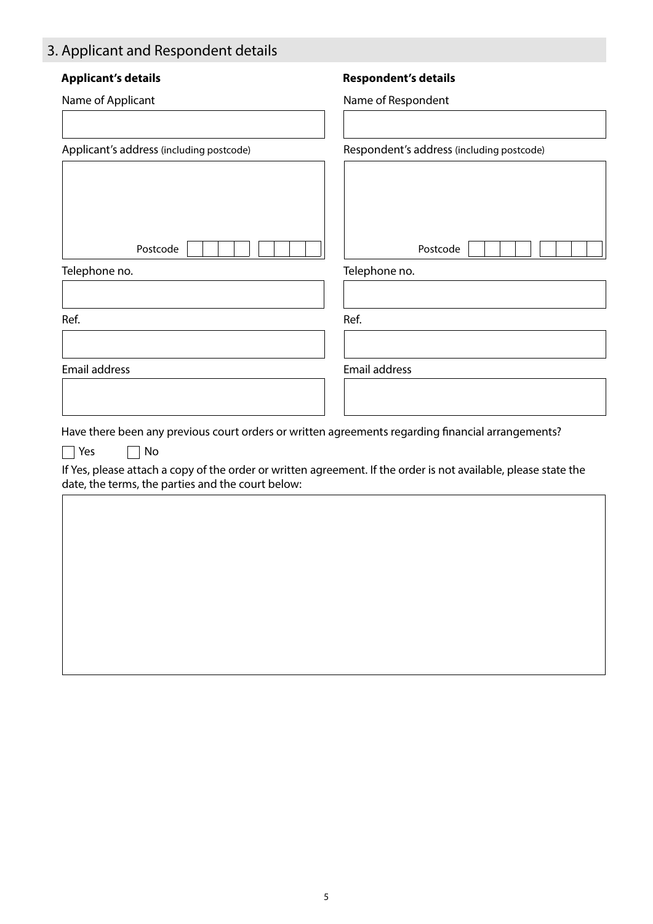# 3. Applicant and Respondent details

#### **Applicant's details**

| Name of Applicant                        | Name of Respondent                        |
|------------------------------------------|-------------------------------------------|
| Applicant's address (including postcode) | Respondent's address (including postcode) |
| Postcode<br>Telephone no.                | Postcode<br>Telephone no.                 |
| Ref.                                     | Ref.                                      |
| Email address                            | Email address                             |
| $\sim$ $\sim$<br>$\sim$                  | $\sim$<br>$\sim$ $\sim$<br>.              |

**Respondent's details**

Have there been any previous court orders or written agreements regarding financial arrangements?

 $\Box$  Yes  $\Box$  No

If Yes, please attach a copy of the order or written agreement. If the order is not available, please state the date, the terms, the parties and the court below: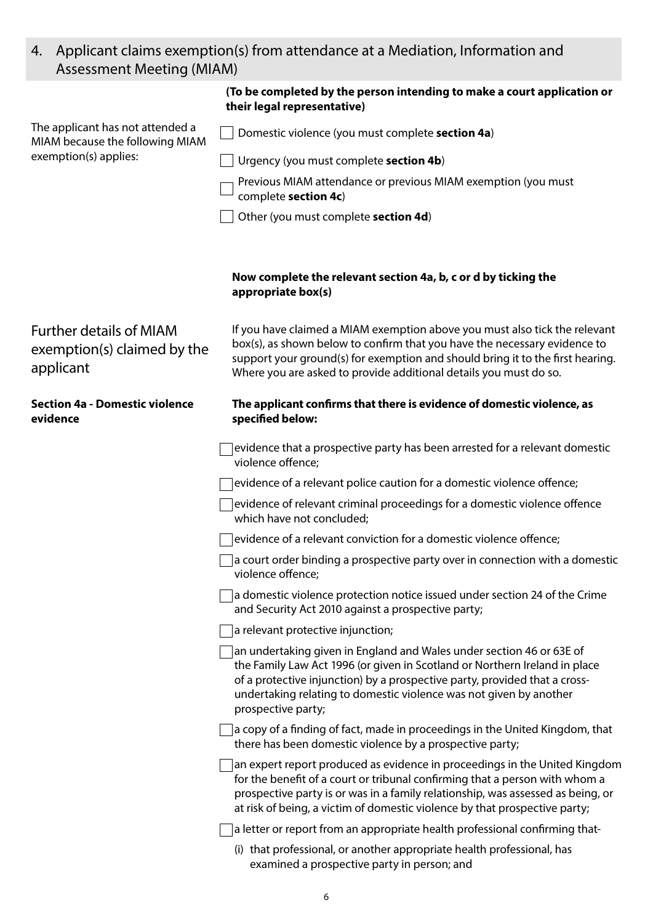## 4. Applicant claims exemption(s) from attendance at a Mediation, Information and Assessment Meeting (MIAM)

|                                                                                              | (To be completed by the person intending to make a court application or<br>their legal representative)                                                                                                                                                                                                                       |  |  |
|----------------------------------------------------------------------------------------------|------------------------------------------------------------------------------------------------------------------------------------------------------------------------------------------------------------------------------------------------------------------------------------------------------------------------------|--|--|
| The applicant has not attended a<br>MIAM because the following MIAM<br>exemption(s) applies: | Domestic violence (you must complete section 4a)                                                                                                                                                                                                                                                                             |  |  |
|                                                                                              | Urgency (you must complete section 4b)                                                                                                                                                                                                                                                                                       |  |  |
|                                                                                              | Previous MIAM attendance or previous MIAM exemption (you must<br>complete section 4c)                                                                                                                                                                                                                                        |  |  |
|                                                                                              | Other (you must complete section 4d)                                                                                                                                                                                                                                                                                         |  |  |
|                                                                                              | Now complete the relevant section 4a, b, c or d by ticking the<br>appropriate box(s)                                                                                                                                                                                                                                         |  |  |
| <b>Further details of MIAM</b><br>exemption(s) claimed by the<br>applicant                   | If you have claimed a MIAM exemption above you must also tick the relevant<br>box(s), as shown below to confirm that you have the necessary evidence to<br>support your ground(s) for exemption and should bring it to the first hearing.<br>Where you are asked to provide additional details you must do so.               |  |  |
| <b>Section 4a - Domestic violence</b><br>evidence                                            | The applicant confirms that there is evidence of domestic violence, as<br>specified below:                                                                                                                                                                                                                                   |  |  |
|                                                                                              | evidence that a prospective party has been arrested for a relevant domestic<br>violence offence;                                                                                                                                                                                                                             |  |  |
|                                                                                              | evidence of a relevant police caution for a domestic violence offence;                                                                                                                                                                                                                                                       |  |  |
|                                                                                              | evidence of relevant criminal proceedings for a domestic violence offence<br>which have not concluded;                                                                                                                                                                                                                       |  |  |
|                                                                                              | evidence of a relevant conviction for a domestic violence offence;                                                                                                                                                                                                                                                           |  |  |
|                                                                                              | a court order binding a prospective party over in connection with a domestic<br>violence offence;                                                                                                                                                                                                                            |  |  |
|                                                                                              | a domestic violence protection notice issued under section 24 of the Crime<br>and Security Act 2010 against a prospective party;                                                                                                                                                                                             |  |  |
|                                                                                              | a relevant protective injunction;                                                                                                                                                                                                                                                                                            |  |  |
|                                                                                              | an undertaking given in England and Wales under section 46 or 63E of<br>the Family Law Act 1996 (or given in Scotland or Northern Ireland in place<br>of a protective injunction) by a prospective party, provided that a cross-<br>undertaking relating to domestic violence was not given by another<br>prospective party; |  |  |
|                                                                                              | $\vert$ a copy of a finding of fact, made in proceedings in the United Kingdom, that<br>there has been domestic violence by a prospective party;                                                                                                                                                                             |  |  |
|                                                                                              | an expert report produced as evidence in proceedings in the United Kingdom<br>for the benefit of a court or tribunal confirming that a person with whom a<br>prospective party is or was in a family relationship, was assessed as being, or<br>at risk of being, a victim of domestic violence by that prospective party;   |  |  |
|                                                                                              | a letter or report from an appropriate health professional confirming that-                                                                                                                                                                                                                                                  |  |  |
|                                                                                              | (i) that professional, or another appropriate health professional, has<br>examined a prospective party in person; and                                                                                                                                                                                                        |  |  |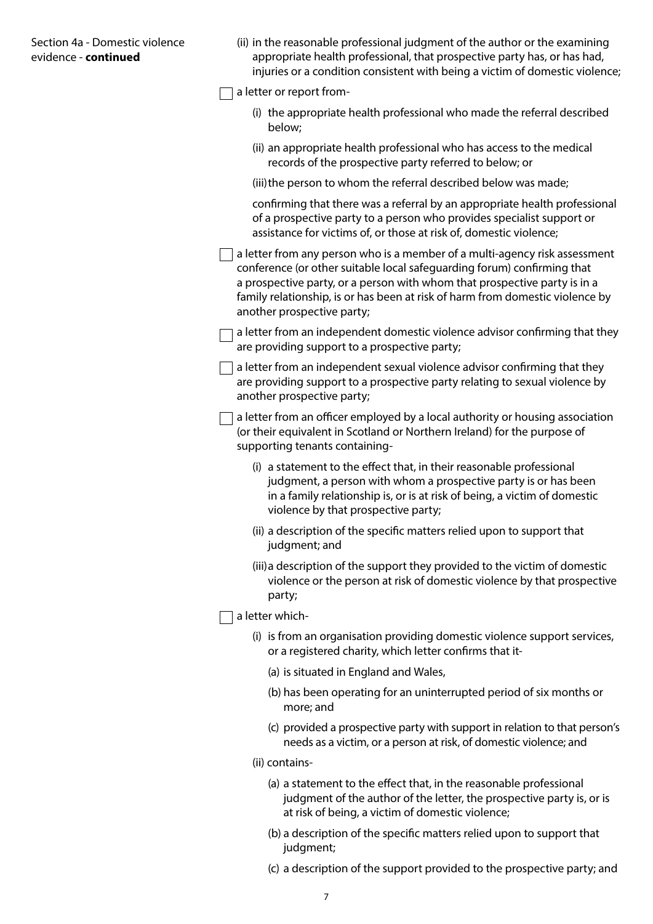#### Section 4a - Domestic violence evidence - **continued**

| (ii) in the reasonable professional judgment of the author or the examining  |
|------------------------------------------------------------------------------|
| appropriate health professional, that prospective party has, or has had,     |
| injuries or a condition consistent with being a victim of domestic violence; |

 $\Box$  a letter or report from-

- (i) the appropriate health professional who made the referral described below;
- (ii) an appropriate health professional who has access to the medical records of the prospective party referred to below; or

(iii)the person to whom the referral described below was made;

confirming that there was a referral by an appropriate health professional of a prospective party to a person who provides specialist support or assistance for victims of, or those at risk of, domestic violence;

 $\Box$  a letter from any person who is a member of a multi-agency risk assessment conference (or other suitable local safeguarding forum) confirming that a prospective party, or a person with whom that prospective party is in a family relationship, is or has been at risk of harm from domestic violence by another prospective party;

a letter from an independent domestic violence advisor confirming that they are providing support to a prospective party;

 $\Box$  a letter from an independent sexual violence advisor confirming that they are providing support to a prospective party relating to sexual violence by another prospective party;

 $\Box$  a letter from an officer employed by a local authority or housing association (or their equivalent in Scotland or Northern Ireland) for the purpose of supporting tenants containing-

- (i) a statement to the effect that, in their reasonable professional judgment, a person with whom a prospective party is or has been in a family relationship is, or is at risk of being, a victim of domestic violence by that prospective party;
- (ii) a description of the specific matters relied upon to support that judgment; and

(iii)a description of the support they provided to the victim of domestic violence or the person at risk of domestic violence by that prospective party;

 $\sqcap$  a letter which-

- (i) is from an organisation providing domestic violence support services, or a registered charity, which letter confirms that it-
	- (a) is situated in England and Wales,
	- (b) has been operating for an uninterrupted period of six months or more; and
	- (c) provided a prospective party with support in relation to that person's needs as a victim, or a person at risk, of domestic violence; and
- (ii) contains-
	- (a) a statement to the effect that, in the reasonable professional judgment of the author of the letter, the prospective party is, or is at risk of being, a victim of domestic violence;
	- (b) a description of the specific matters relied upon to support that judgment;
	- (c) a description of the support provided to the prospective party; and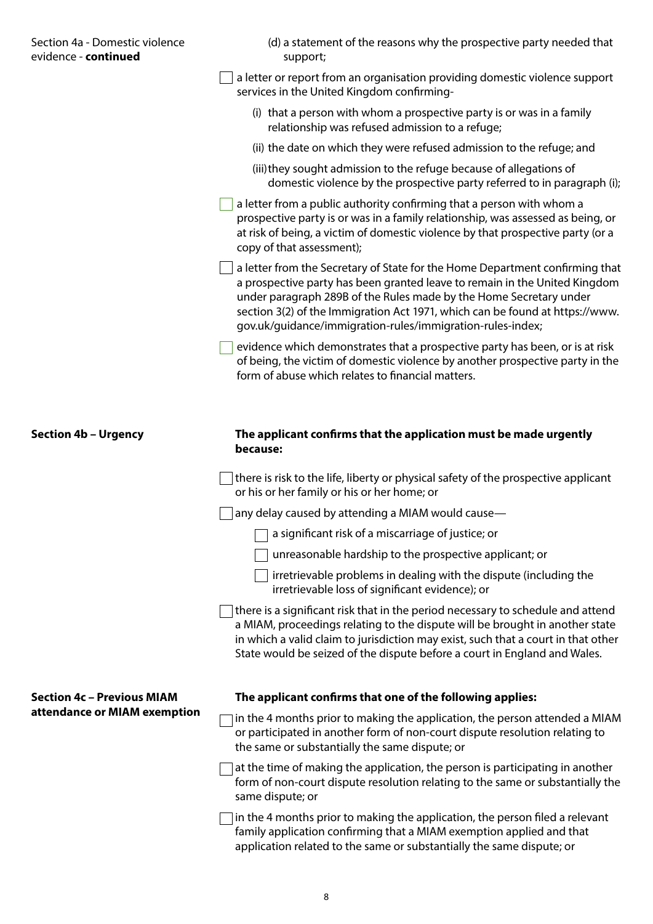| Section 4a - Domestic violence<br>evidence - continued | (d) a statement of the reasons why the prospective party needed that<br>support;                                                                                                                                                                                                                                                                                               |
|--------------------------------------------------------|--------------------------------------------------------------------------------------------------------------------------------------------------------------------------------------------------------------------------------------------------------------------------------------------------------------------------------------------------------------------------------|
|                                                        | a letter or report from an organisation providing domestic violence support<br>services in the United Kingdom confirming-                                                                                                                                                                                                                                                      |
|                                                        | (i) that a person with whom a prospective party is or was in a family<br>relationship was refused admission to a refuge;                                                                                                                                                                                                                                                       |
|                                                        | (ii) the date on which they were refused admission to the refuge; and                                                                                                                                                                                                                                                                                                          |
|                                                        | (iii) they sought admission to the refuge because of allegations of<br>domestic violence by the prospective party referred to in paragraph (i);                                                                                                                                                                                                                                |
|                                                        | a letter from a public authority confirming that a person with whom a<br>prospective party is or was in a family relationship, was assessed as being, or<br>at risk of being, a victim of domestic violence by that prospective party (or a<br>copy of that assessment);                                                                                                       |
|                                                        | a letter from the Secretary of State for the Home Department confirming that<br>a prospective party has been granted leave to remain in the United Kingdom<br>under paragraph 289B of the Rules made by the Home Secretary under<br>section 3(2) of the Immigration Act 1971, which can be found at https://www.<br>gov.uk/guidance/immigration-rules/immigration-rules-index; |
|                                                        | evidence which demonstrates that a prospective party has been, or is at risk<br>of being, the victim of domestic violence by another prospective party in the<br>form of abuse which relates to financial matters.                                                                                                                                                             |
| <b>Section 4b - Urgency</b>                            | The applicant confirms that the application must be made urgently<br>because:                                                                                                                                                                                                                                                                                                  |
|                                                        | there is risk to the life, liberty or physical safety of the prospective applicant<br>or his or her family or his or her home; or                                                                                                                                                                                                                                              |
|                                                        | any delay caused by attending a MIAM would cause-                                                                                                                                                                                                                                                                                                                              |
|                                                        | a significant risk of a miscarriage of justice; or                                                                                                                                                                                                                                                                                                                             |
|                                                        | unreasonable hardship to the prospective applicant; or                                                                                                                                                                                                                                                                                                                         |
|                                                        | irretrievable problems in dealing with the dispute (including the<br>irretrievable loss of significant evidence); or                                                                                                                                                                                                                                                           |
|                                                        | there is a significant risk that in the period necessary to schedule and attend<br>a MIAM, proceedings relating to the dispute will be brought in another state<br>in which a valid claim to jurisdiction may exist, such that a court in that other<br>State would be seized of the dispute before a court in England and Wales.                                              |
| <b>Section 4c - Previous MIAM</b>                      | The applicant confirms that one of the following applies:                                                                                                                                                                                                                                                                                                                      |
| attendance or MIAM exemption                           | in the 4 months prior to making the application, the person attended a MIAM<br>or participated in another form of non-court dispute resolution relating to<br>the same or substantially the same dispute; or                                                                                                                                                                   |
|                                                        | at the time of making the application, the person is participating in another<br>form of non-court dispute resolution relating to the same or substantially the<br>same dispute; or                                                                                                                                                                                            |
|                                                        | in the 4 months prior to making the application, the person filed a relevant<br>family application confirming that a MIAM exemption applied and that<br>application related to the same or substantially the same dispute; or                                                                                                                                                  |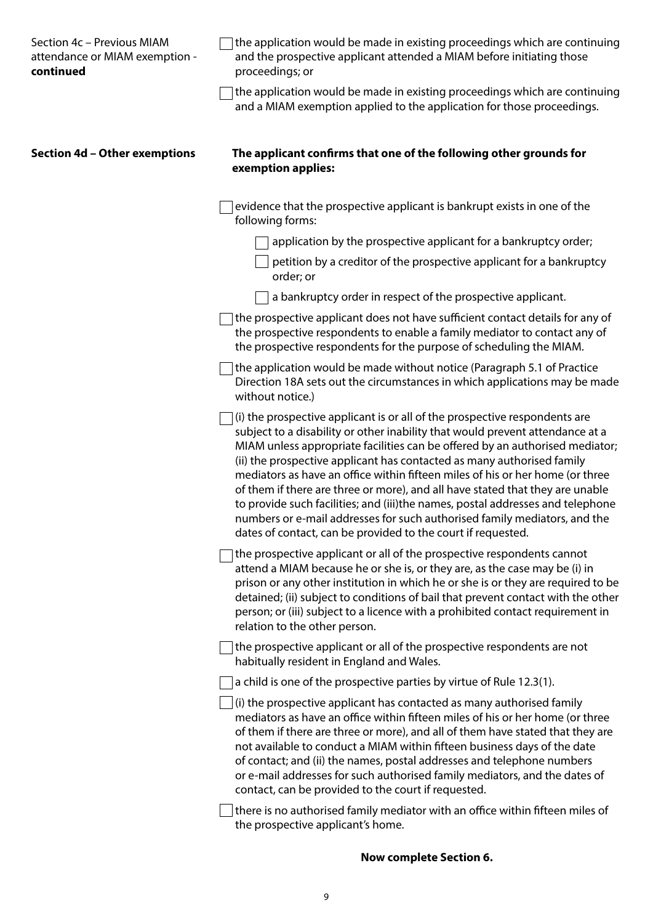| Section 4c - Previous MIAM<br>attendance or MIAM exemption -<br>continued | the application would be made in existing proceedings which are continuing<br>and the prospective applicant attended a MIAM before initiating those<br>proceedings; or                                                                                                                                                                                                                                                                                                                                                                                                                                                                                                                                                 |  |  |
|---------------------------------------------------------------------------|------------------------------------------------------------------------------------------------------------------------------------------------------------------------------------------------------------------------------------------------------------------------------------------------------------------------------------------------------------------------------------------------------------------------------------------------------------------------------------------------------------------------------------------------------------------------------------------------------------------------------------------------------------------------------------------------------------------------|--|--|
|                                                                           | the application would be made in existing proceedings which are continuing<br>and a MIAM exemption applied to the application for those proceedings.                                                                                                                                                                                                                                                                                                                                                                                                                                                                                                                                                                   |  |  |
| <b>Section 4d - Other exemptions</b>                                      | The applicant confirms that one of the following other grounds for<br>exemption applies:                                                                                                                                                                                                                                                                                                                                                                                                                                                                                                                                                                                                                               |  |  |
|                                                                           | evidence that the prospective applicant is bankrupt exists in one of the<br>following forms:                                                                                                                                                                                                                                                                                                                                                                                                                                                                                                                                                                                                                           |  |  |
|                                                                           | application by the prospective applicant for a bankruptcy order;                                                                                                                                                                                                                                                                                                                                                                                                                                                                                                                                                                                                                                                       |  |  |
|                                                                           | petition by a creditor of the prospective applicant for a bankruptcy<br>order; or                                                                                                                                                                                                                                                                                                                                                                                                                                                                                                                                                                                                                                      |  |  |
|                                                                           | a bankruptcy order in respect of the prospective applicant.                                                                                                                                                                                                                                                                                                                                                                                                                                                                                                                                                                                                                                                            |  |  |
|                                                                           | the prospective applicant does not have sufficient contact details for any of<br>the prospective respondents to enable a family mediator to contact any of<br>the prospective respondents for the purpose of scheduling the MIAM.                                                                                                                                                                                                                                                                                                                                                                                                                                                                                      |  |  |
|                                                                           | the application would be made without notice (Paragraph 5.1 of Practice<br>Direction 18A sets out the circumstances in which applications may be made<br>without notice.)                                                                                                                                                                                                                                                                                                                                                                                                                                                                                                                                              |  |  |
|                                                                           | (i) the prospective applicant is or all of the prospective respondents are<br>subject to a disability or other inability that would prevent attendance at a<br>MIAM unless appropriate facilities can be offered by an authorised mediator;<br>(ii) the prospective applicant has contacted as many authorised family<br>mediators as have an office within fifteen miles of his or her home (or three<br>of them if there are three or more), and all have stated that they are unable<br>to provide such facilities; and (iii)the names, postal addresses and telephone<br>numbers or e-mail addresses for such authorised family mediators, and the<br>dates of contact, can be provided to the court if requested. |  |  |
|                                                                           | the prospective applicant or all of the prospective respondents cannot<br>attend a MIAM because he or she is, or they are, as the case may be (i) in<br>prison or any other institution in which he or she is or they are required to be<br>detained; (ii) subject to conditions of bail that prevent contact with the other<br>person; or (iii) subject to a licence with a prohibited contact requirement in<br>relation to the other person.                                                                                                                                                                                                                                                                        |  |  |
|                                                                           | the prospective applicant or all of the prospective respondents are not<br>habitually resident in England and Wales.                                                                                                                                                                                                                                                                                                                                                                                                                                                                                                                                                                                                   |  |  |
|                                                                           | a child is one of the prospective parties by virtue of Rule 12.3(1).                                                                                                                                                                                                                                                                                                                                                                                                                                                                                                                                                                                                                                                   |  |  |
|                                                                           | (i) the prospective applicant has contacted as many authorised family<br>mediators as have an office within fifteen miles of his or her home (or three<br>of them if there are three or more), and all of them have stated that they are<br>not available to conduct a MIAM within fifteen business days of the date<br>of contact; and (ii) the names, postal addresses and telephone numbers<br>or e-mail addresses for such authorised family mediators, and the dates of<br>contact, can be provided to the court if requested.                                                                                                                                                                                    |  |  |
|                                                                           | there is no authorised family mediator with an office within fifteen miles of<br>the prospective applicant's home.                                                                                                                                                                                                                                                                                                                                                                                                                                                                                                                                                                                                     |  |  |

#### **Now complete Section 6.**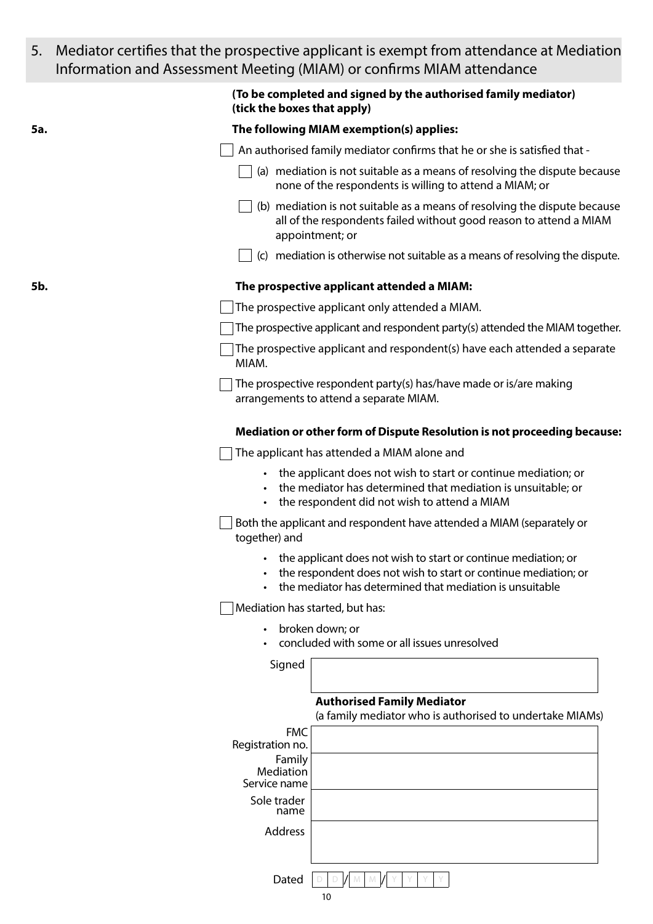5. Mediator certifies that the prospective applicant is exempt from attendance at Mediation Information and Assessment Meeting (MIAM) or confirms MIAM attendance

|     | (tick the boxes that apply)     | (To be completed and signed by the authorised family mediator)                                                                                                                                |
|-----|---------------------------------|-----------------------------------------------------------------------------------------------------------------------------------------------------------------------------------------------|
| 5a. |                                 | The following MIAM exemption(s) applies:                                                                                                                                                      |
|     |                                 | An authorised family mediator confirms that he or she is satisfied that -                                                                                                                     |
|     |                                 | (a) mediation is not suitable as a means of resolving the dispute because<br>none of the respondents is willing to attend a MIAM; or                                                          |
|     | appointment; or                 | (b) mediation is not suitable as a means of resolving the dispute because<br>all of the respondents failed without good reason to attend a MIAM                                               |
|     |                                 | (c) mediation is otherwise not suitable as a means of resolving the dispute.                                                                                                                  |
| 5b. |                                 | The prospective applicant attended a MIAM:                                                                                                                                                    |
|     |                                 | The prospective applicant only attended a MIAM.                                                                                                                                               |
|     |                                 | The prospective applicant and respondent party(s) attended the MIAM together.                                                                                                                 |
|     | MIAM.                           | The prospective applicant and respondent(s) have each attended a separate                                                                                                                     |
|     |                                 | The prospective respondent party(s) has/have made or is/are making<br>arrangements to attend a separate MIAM.                                                                                 |
|     |                                 | Mediation or other form of Dispute Resolution is not proceeding because:                                                                                                                      |
|     |                                 | The applicant has attended a MIAM alone and                                                                                                                                                   |
|     |                                 | • the applicant does not wish to start or continue mediation; or<br>the mediator has determined that mediation is unsuitable; or<br>the respondent did not wish to attend a MIAM              |
|     | together) and                   | Both the applicant and respondent have attended a MIAM (separately or                                                                                                                         |
|     | $\bullet$                       | the applicant does not wish to start or continue mediation; or<br>the respondent does not wish to start or continue mediation; or<br>the mediator has determined that mediation is unsuitable |
|     | Mediation has started, but has: |                                                                                                                                                                                               |
|     | $\bullet$                       | broken down; or<br>concluded with some or all issues unresolved                                                                                                                               |
|     | Signed                          |                                                                                                                                                                                               |
|     |                                 | <b>Authorised Family Mediator</b>                                                                                                                                                             |
|     |                                 | (a family mediator who is authorised to undertake MIAMs)                                                                                                                                      |
|     | <b>FMC</b><br>Registration no.  |                                                                                                                                                                                               |
|     | Family<br>Mediation             |                                                                                                                                                                                               |
|     | Service name                    |                                                                                                                                                                                               |
|     | Sole trader<br>name             |                                                                                                                                                                                               |
|     | Address                         |                                                                                                                                                                                               |
|     | Dated                           |                                                                                                                                                                                               |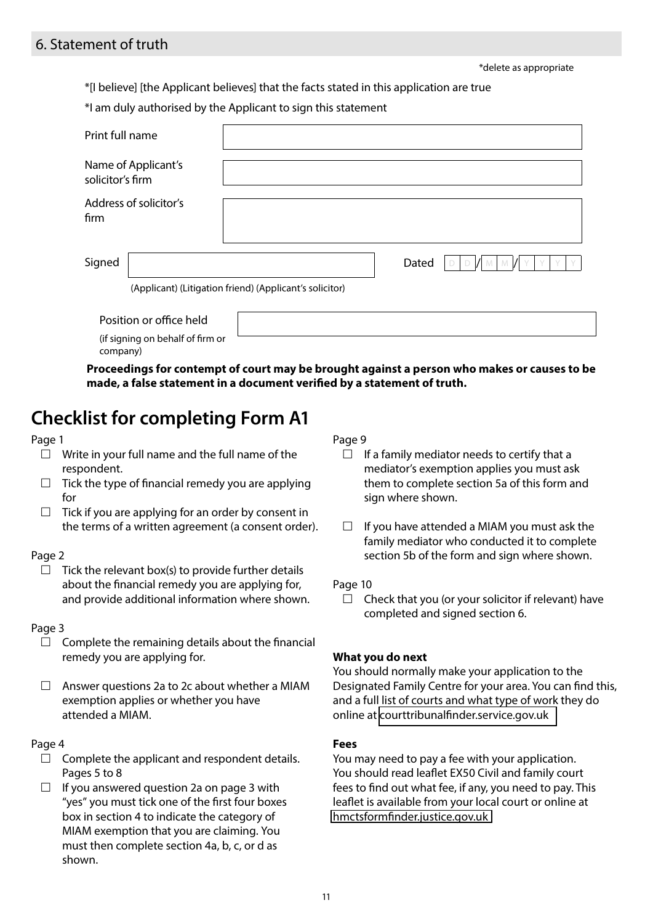\*delete as appropriate

\*[I believe] [the Applicant believes] that the facts stated in this application are true

\*I am duly authorised by the Applicant to sign this statement

| Print full name                              |                                                         |       |
|----------------------------------------------|---------------------------------------------------------|-------|
| Name of Applicant's<br>solicitor's firm      |                                                         |       |
| Address of solicitor's<br>firm               |                                                         |       |
| Signed                                       |                                                         | Dated |
|                                              | (Applicant) (Litigation friend) (Applicant's solicitor) |       |
| Position or office held                      |                                                         |       |
| (if signing on behalf of firm or<br>company) |                                                         |       |

**Proceedings for contempt of court may be brought against a person who makes or causes to be made, a false statement in a document verified by a statement of truth.**

# **Checklist for completing Form A1**

#### Page 1

- $\Box$  Write in your full name and the full name of the respondent.
- $\Box$  Tick the type of financial remedy you are applying for
- $\Box$  Tick if you are applying for an order by consent in the terms of a written agreement (a consent order).

#### Page 2

 $\Box$  Tick the relevant box(s) to provide further details about the financial remedy you are applying for, and provide additional information where shown.

#### Page 3

- $\Box$  Complete the remaining details about the financial remedy you are applying for.
- Answer questions 2a to 2c about whether a MIAM exemption applies or whether you have attended a MIAM.

#### Page 4

- $\Box$  Complete the applicant and respondent details. Pages 5 to 8
- $\Box$  If you answered question 2a on page 3 with "yes" you must tick one of the first four boxes box in section 4 to indicate the category of MIAM exemption that you are claiming. You must then complete section 4a, b, c, or d as shown.

Page 9

- $\Box$  If a family mediator needs to certify that a mediator's exemption applies you must ask them to complete section 5a of this form and sign where shown.
- $\Box$  If you have attended a MIAM you must ask the family mediator who conducted it to complete section 5b of the form and sign where shown.

#### Page 10

 $\Box$  Check that you (or your solicitor if relevant) have completed and signed section 6.

#### **What you do next**

You should normally make your application to the Designated Family Centre for your area. You can find this, and a full list of courts and what type of work they do online at [courttribunalfinder.service.gov.uk](https://courttribunalfinder.service.gov.uk) 

#### **Fees**

You may need to pay a fee with your application. You should read leaflet EX50 Civil and family court fees to find out what fee, if any, you need to pay. This leaflet is available from your local court or online at [hmctsformfinder.justice.gov.uk](https://hmctsformfinder.justice.gov.uk)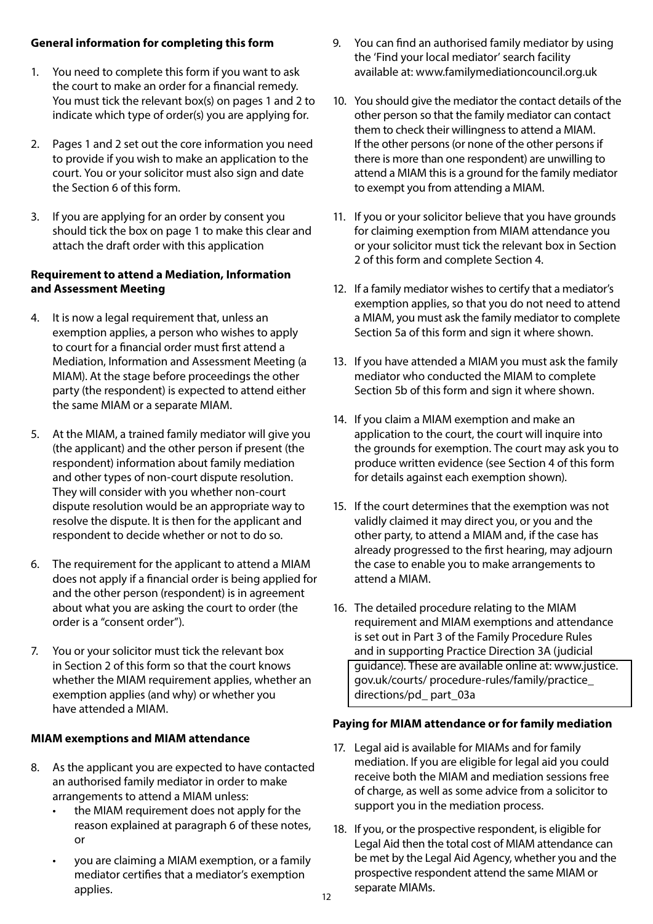#### **General information for completing this form**

- 1. You need to complete this form if you want to ask the court to make an order for a financial remedy. You must tick the relevant box(s) on pages 1 and 2 to indicate which type of order(s) you are applying for.
- 2. Pages 1 and 2 set out the core information you need to provide if you wish to make an application to the court. You or your solicitor must also sign and date the Section 6 of this form.
- 3. If you are applying for an order by consent you should tick the box on page 1 to make this clear and attach the draft order with this application

#### **Requirement to attend a Mediation, Information and Assessment Meeting**

- 4. It is now a legal requirement that, unless an exemption applies, a person who wishes to apply to court for a financial order must first attend a Mediation, Information and Assessment Meeting (a MIAM). At the stage before proceedings the other party (the respondent) is expected to attend either the same MIAM or a separate MIAM.
- 5. At the MIAM, a trained family mediator will give you (the applicant) and the other person if present (the respondent) information about family mediation and other types of non-court dispute resolution. They will consider with you whether non-court dispute resolution would be an appropriate way to resolve the dispute. It is then for the applicant and respondent to decide whether or not to do so.
- 6. The requirement for the applicant to attend a MIAM does not apply if a financial order is being applied for and the other person (respondent) is in agreement about what you are asking the court to order (the order is a "consent order").
- 7. You or your solicitor must tick the relevant box in Section 2 of this form so that the court knows whether the MIAM requirement applies, whether an exemption applies (and why) or whether you have attended a MIAM.

#### **MIAM exemptions and MIAM attendance**

- 8. As the applicant you are expected to have contacted an authorised family mediator in order to make arrangements to attend a MIAM unless:
	- the MIAM requirement does not apply for the reason explained at paragraph 6 of these notes, or
	- you are claiming a MIAM exemption, or a family mediator certifies that a mediator's exemption applies.
- 9. You can find an authorised family mediator by using the 'Find your local mediator' search facility available at: www.familymediationcouncil.org.uk
- 10. You should give the mediator the contact details of the other person so that the family mediator can contact them to check their willingness to attend a MIAM. If the other persons (or none of the other persons if there is more than one respondent) are unwilling to attend a MIAM this is a ground for the family mediator to exempt you from attending a MIAM.
- 11. If you or your solicitor believe that you have grounds for claiming exemption from MIAM attendance you or your solicitor must tick the relevant box in Section 2 of this form and complete Section 4.
- 12. If a family mediator wishes to certify that a mediator's exemption applies, so that you do not need to attend a MIAM, you must ask the family mediator to complete Section 5a of this form and sign it where shown.
- 13. If you have attended a MIAM you must ask the family mediator who conducted the MIAM to complete Section 5b of this form and sign it where shown.
- 14. If you claim a MIAM exemption and make an application to the court, the court will inquire into the grounds for exemption. The court may ask you to produce written evidence (see Section 4 of this form for details against each exemption shown).
- 15. If the court determines that the exemption was not validly claimed it may direct you, or you and the other party, to attend a MIAM and, if the case has already progressed to the first hearing, may adjourn the case to enable you to make arrangements to attend a MIAM.
- 16. The detailed procedure relating to the MIAM requirement and MIAM exemptions and attendance is set out in Part 3 of the Family Procedure Rules and in supporting Practice Direction 3A (judicial [guidance\). These are available online at: www.justice.](http://www.justice.gov.uk/courts/procedure-rules/family/practice_directions/pd_part_03a) gov.uk/courts/ procedure-rules/family/practice\_ directions/pd\_ part\_03a

#### **Paying for MIAM attendance or for family mediation**

- 17. Legal aid is available for MIAMs and for family mediation. If you are eligible for legal aid you could receive both the MIAM and mediation sessions free of charge, as well as some advice from a solicitor to support you in the mediation process.
- 18. If you, or the prospective respondent, is eligible for Legal Aid then the total cost of MIAM attendance can be met by the Legal Aid Agency, whether you and the prospective respondent attend the same MIAM or separate MIAMs.